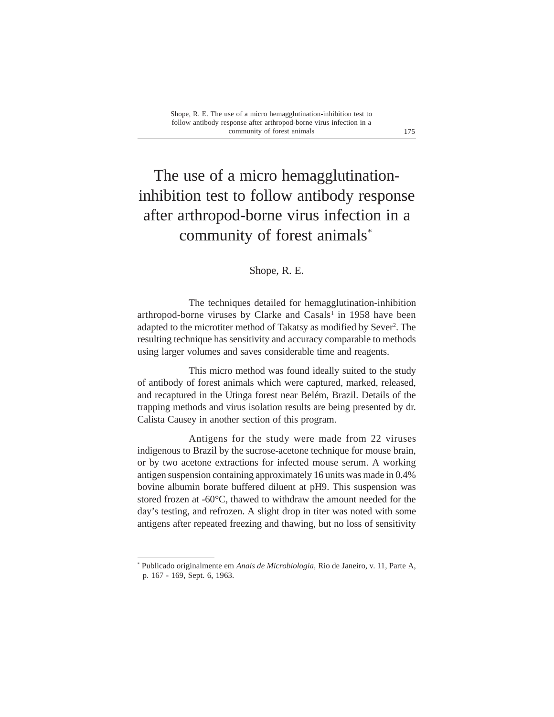## The use of a micro hemagglutinationinhibition test to follow antibody response after arthropod-borne virus infection in a community of forest animals\*

## Shope, R. E.

The techniques detailed for hemagglutination-inhibition arthropod-borne viruses by Clarke and Casals<sup>1</sup> in 1958 have been adapted to the microtiter method of Takatsy as modified by Sever<sup>2</sup>. The resulting technique has sensitivity and accuracy comparable to methods using larger volumes and saves considerable time and reagents.

This micro method was found ideally suited to the study of antibody of forest animals which were captured, marked, released, and recaptured in the Utinga forest near Belém, Brazil. Details of the trapping methods and virus isolation results are being presented by dr. Calista Causey in another section of this program.

Antigens for the study were made from 22 viruses indigenous to Brazil by the sucrose-acetone technique for mouse brain, or by two acetone extractions for infected mouse serum. A working antigen suspension containing approximately 16 units was made in 0.4% bovine albumin borate buffered diluent at pH9. This suspension was stored frozen at -60°C, thawed to withdraw the amount needed for the day's testing, and refrozen. A slight drop in titer was noted with some antigens after repeated freezing and thawing, but no loss of sensitivity

<sup>\*</sup> Publicado originalmente em *Anais de Microbiologia,* Rio de Janeiro, v. 11, Parte A, p. 167 - 169, Sept. 6, 1963.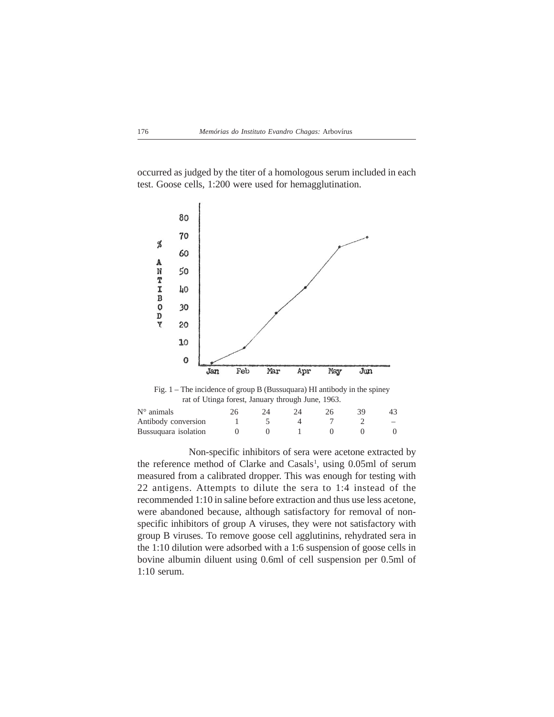occurred as judged by the titer of a homologous serum included in each test. Goose cells, 1:200 were used for hemagglutination.



Non-specific inhibitors of sera were acetone extracted by the reference method of Clarke and Casals<sup>1</sup>, using 0.05ml of serum measured from a calibrated dropper. This was enough for testing with 22 antigens. Attempts to dilute the sera to 1:4 instead of the recommended 1:10 in saline before extraction and thus use less acetone, were abandoned because, although satisfactory for removal of nonspecific inhibitors of group A viruses, they were not satisfactory with group B viruses. To remove goose cell agglutinins, rehydrated sera in the 1:10 dilution were adsorbed with a 1:6 suspension of goose cells in bovine albumin diluent using 0.6ml of cell suspension per 0.5ml of 1:10 serum.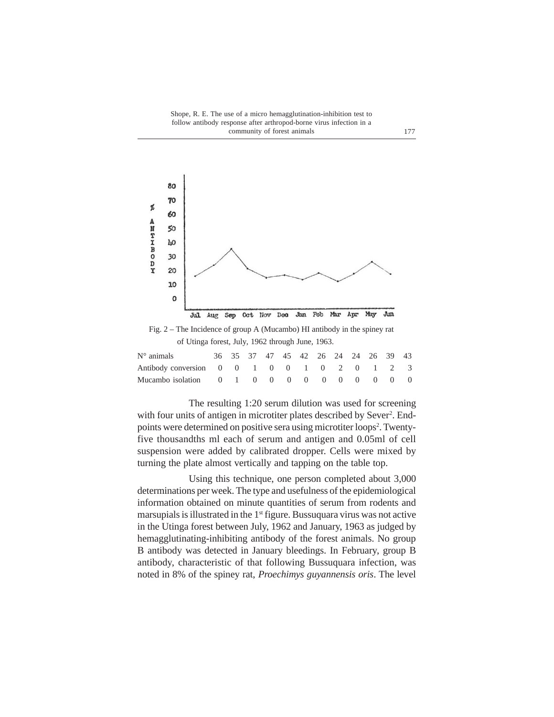Shope, R. E. The use of a micro hemagglutination-inhibition test to follow antibody response after arthropod-borne virus infection in a community of forest animals 177



The resulting 1:20 serum dilution was used for screening with four units of antigen in microtiter plates described by Sever<sup>2</sup>. Endpoints were determined on positive sera using microtiter loops<sup>2</sup>. Twentyfive thousandths ml each of serum and antigen and 0.05ml of cell suspension were added by calibrated dropper. Cells were mixed by turning the plate almost vertically and tapping on the table top.

Using this technique, one person completed about 3,000 determinations per week. The type and usefulness of the epidemiological information obtained on minute quantities of serum from rodents and marsupials is illustrated in the  $1<sup>st</sup>$  figure. Bussuquara virus was not active in the Utinga forest between July, 1962 and January, 1963 as judged by hemagglutinating-inhibiting antibody of the forest animals. No group B antibody was detected in January bleedings. In February, group B antibody, characteristic of that following Bussuquara infection, was noted in 8% of the spiney rat, *Proechimys guyannensis oris*. The level